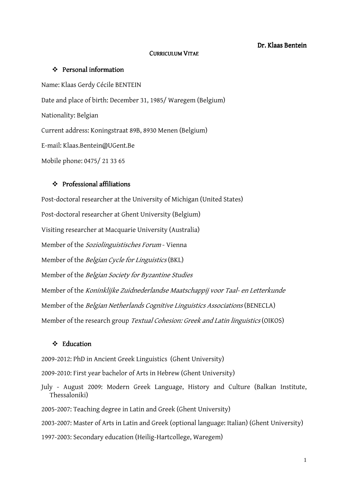### Dr. Klaas Bentein

### CURRICULUM VITAE

### $\div$  Personal information

Name: Klaas Gerdy Cécile BENTEIN Date and place of birth: December 31, 1985/ Waregem (Belgium) Nationality: Belgian Current address: Koningstraat 89B, 8930 Menen (Belgium) E-mail: Klaas.Bentein@UGent.Be Mobile phone: 0475/ 21 33 65

### $\div$  Professional affiliations

Post-doctoral researcher at the University of Michigan (United States) Post-doctoral researcher at Ghent University (Belgium) Visiting researcher at Macquarie University (Australia) Member of the Soziolinguistisches Forum - Vienna Member of the Belgian Cycle for Linguistics (BKL) Member of the Belgian Society for Byzantine Studies Member of the Koninklijke Zuidnederlandse Maatschappij voor Taal- en Letterkunde Member of the Belgian Netherlands Cognitive Linguistics Associations (BENECLA) Member of the research group Textual Cohesion: Greek and Latin linguistics (OIKOS)

### Education

2009-2012: PhD in Ancient Greek Linguistics (Ghent University)

2009-2010: First year bachelor of Arts in Hebrew (Ghent University)

July - August 2009: Modern Greek Language, History and Culture (Balkan Institute, Thessaloniki)

2005-2007: Teaching degree in Latin and Greek (Ghent University)

2003-2007: Master of Arts in Latin and Greek (optional language: Italian) (Ghent University)

1997-2003: Secondary education (Heilig-Hartcollege, Waregem)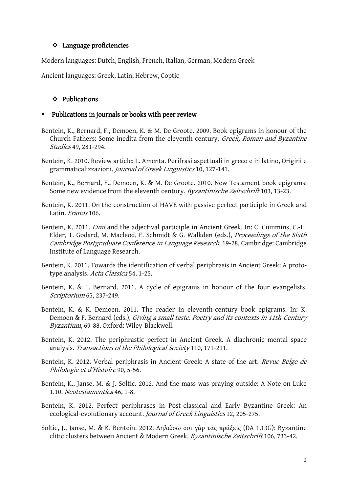### $\div$  Language proficiencies

Modern languages: Dutch, English, French, Italian, German, Modern Greek

Ancient languages: Greek, Latin, Hebrew, Coptic

### $\div$  Publications

#### -Publications in journals or books with peer review

- Bentein, K., Bernard, F., Demoen, K. & M. De Groote. 2009. Book epigrams in honour of the Church Fathers: Some inedita from the eleventh century. Greek, Roman and Byzantine Studies 49, 281-294.
- Bentein, K. 2010. Review article: L. Amenta. Perifrasi aspettuali in greco e in latino, Origini e grammaticalizzazioni. Journal of Greek Linguistics 10, 127-141.
- Bentein, K., Bernard, F., Demoen, K. & M. De Groote. 2010. New Testament book epigrams: Some new evidence from the eleventh century. Byzantinische Zeitschrift 103, 13-23.
- Bentein, K. 2011. On the construction of HAVE with passive perfect participle in Greek and Latin. Eranos 106.
- Bentein, K. 2011. *Eimi* and the adjectival participle in Ancient Greek. In: C. Cummins, C.-H. Elder, T. Godard, M. Macleod, E. Schmidt & G. Walkden (eds.), *Proceedings of the Sixth* Cambridge Postgraduate Conference in Language Research, 19-28. Cambridge: Cambridge Institute of Language Research.
- Bentein, K. 2011. Towards the identification of verbal periphrasis in Ancient Greek: A prototype analysis. Acta Classica 54, 1-25.
- Bentein, K. & F. Bernard. 2011. A cycle of epigrams in honour of the four evangelists. Scriptorium 65, 237-249.
- Bentein, K. & K. Demoen. 2011. The reader in eleventh-century book epigrams. In: K. Demoen & F. Bernard (eds.), *Giving a small taste. Poetry and its contexts in 11th-Century* Byzantium, 69-88. Oxford: Wiley-Blackwell.
- Bentein, K. 2012. The periphrastic perfect in Ancient Greek. A diachronic mental space analysis. Transactions of the Philological Society 110, 171-211.
- Bentein, K. 2012. Verbal periphrasis in Ancient Greek: A state of the art. Revue Belge de Philologie et d'Histoire 90, 5-56.
- Bentein, K., Janse, M. & J. Soltic. 2012. And the mass was praying outside: A Note on Luke 1.10. Neotestamentica 46, 1-8.
- Bentein, K. 2012. Perfect periphrases in Post-classical and Early Byzantine Greek: An ecological-evolutionary account. Journal of Greek Linguistics 12, 205-275.
- Soltic, J., Janse, M. & K. Bentein. 2012. ∆ηλώσω σοι γὰρ τὰς πράξεις (DA 1.13G): Byzantine clitic clusters between Ancient & Modern Greek. Byzantinische Zeitschrift 106, 733-42.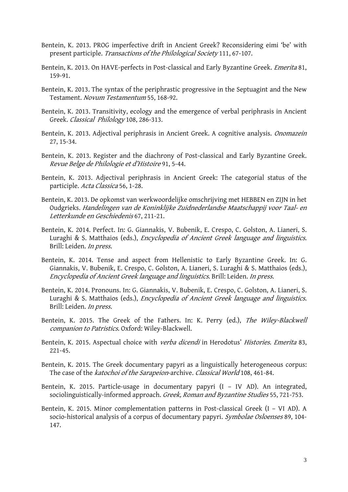- Bentein, K. 2013. PROG imperfective drift in Ancient Greek? Reconsidering eimi 'be' with present participle. Transactions of the Philological Society 111, 67-107.
- Bentein, K. 2013. On HAVE-perfects in Post-classical and Early Byzantine Greek. Emerita 81, 159-91.
- Bentein, K. 2013. The syntax of the periphrastic progressive in the Septuagint and the New Testament. Novum Testamentum 55, 168-92.
- Bentein, K. 2013. Transitivity, ecology and the emergence of verbal periphrasis in Ancient Greek. Classical Philology 108, 286-313.
- Bentein, K. 2013. Adjectival periphrasis in Ancient Greek. A cognitive analysis. Onomazein 27, 15-34.
- Bentein, K. 2013. Register and the diachrony of Post-classical and Early Byzantine Greek. Revue Belge de Philologie et d'Histoire 91, 5-44.
- Bentein, K. 2013. Adjectival periphrasis in Ancient Greek: The categorial status of the participle. Acta Classica 56, 1-28.
- Bentein, K. 2013. De opkomst van werkwoordelijke omschrijving met HEBBEN en ZIJN in het Oudgrieks. Handelingen van de Koninklijke Zuidnederlandse Maatschappij voor Taal- en Letterkunde en Geschiedenis 67, 211-21.
- Bentein, K. 2014. Perfect. In: G. Giannakis, V. Bubenik, E. Crespo, C. Golston, A. Lianeri, S. Luraghi & S. Matthaios (eds.), *Encyclopedia of Ancient Greek language and linguistics*. Brill: Leiden. In press.
- Bentein, K. 2014. Tense and aspect from Hellenistic to Early Byzantine Greek. In: G. Giannakis, V. Bubenik, E. Crespo, C. Golston, A. Lianeri, S. Luraghi & S. Matthaios (eds.), Encyclopedia of Ancient Greek language and linguistics. Brill: Leiden. In press.
- Bentein, K. 2014. Pronouns. In: G. Giannakis, V. Bubenik, E. Crespo, C. Golston, A. Lianeri, S. Luraghi & S. Matthaios (eds.), *Encyclopedia of Ancient Greek language and linguistics*. Brill: Leiden. In press.
- Bentein, K. 2015. The Greek of the Fathers. In: K. Perry (ed.), The Wiley-Blackwell companion to Patristics. Oxford: Wiley-Blackwell.
- Bentein, K. 2015. Aspectual choice with verba dicendi in Herodotus' Histories. Emerita 83, 221-45.
- Bentein, K. 2015. The Greek documentary papyri as a linguistically heterogeneous corpus: The case of the katochoi of the Sarapeion-archive. Classical World 108, 461-84.
- Bentein, K. 2015. Particle-usage in documentary papyri (I IV AD). An integrated, sociolinguistically-informed approach. Greek, Roman and Byzantine Studies 55, 721-753.
- Bentein, K. 2015. Minor complementation patterns in Post-classical Greek (I VI AD). A socio-historical analysis of a corpus of documentary papyri. Symbolae Osloenses 89, 104-147.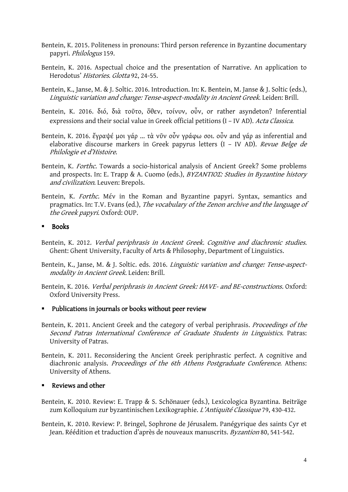- Bentein, K. 2015. Politeness in pronouns: Third person reference in Byzantine documentary papyri. Philologus 159.
- Bentein, K. 2016. Aspectual choice and the presentation of Narrative. An application to Herodotus' Histories. Glotta 92, 24-55.
- Bentein, K., Janse, M. & J. Soltic. 2016. Introduction. In: K. Bentein, M. Janse & J. Soltic (eds.), Linguistic variation and change: Tense-aspect-modality in Ancient Greek. Leiden: Brill.
- Bentein, K. 2016. διό, διὰ τοῦτο, ὅθεν, τοίνυν, οὖν, or rather asyndeton? Inferential expressions and their social value in Greek official petitions (I – IV AD). Acta Classica.
- Bentein, K. 2016. ἔγραψέ μοι γάρ ... τὰ νῦν οὖν γράφω σοι. οὖν and γάρ as inferential and elaborative discourse markers in Greek papyrus letters (I - IV AD). Revue Belge de Philologie et d'Histoire.
- Bentein, K. Forthc. Towards a socio-historical analysis of Ancient Greek? Some problems and prospects. In: E. Trapp & A. Cuomo (eds.), BYZANTIOΣ: Studies in Byzantine history and civilization. Leuven: Brepols.
- Bentein, K. Forthc. Μέν in the Roman and Byzantine papyri. Syntax, semantics and pragmatics. In: T.V. Evans (ed.), The vocabulary of the Zenon archive and the language of the Greek papyri. Oxford: OUP.

#### -Books

- Bentein, K. 2012. Verbal periphrasis in Ancient Greek. Cognitive and diachronic studies. Ghent: Ghent University, Faculty of Arts & Philosophy, Department of Linguistics.
- Bentein, K., Janse, M. & J. Soltic. eds. 2016. Linguistic variation and change: Tense-aspectmodality in Ancient Greek. Leiden: Brill.
- Bentein, K. 2016. Verbal periphrasis in Ancient Greek: HAVE- and BE-constructions. Oxford: Oxford University Press.
- " Publications in journals or books without peer review
- Bentein, K. 2011. Ancient Greek and the category of verbal periphrasis. *Proceedings of the* Second Patras International Conference of Graduate Students in Linguistics. Patras: University of Patras.
- Bentein, K. 2011. Reconsidering the Ancient Greek periphrastic perfect. A cognitive and diachronic analysis. Proceedings of the 6th Athens Postgraduate Conference. Athens: University of Athens.

# **-** Reviews and other

- Bentein, K. 2010. Review: E. Trapp & S. Schönauer (eds.), Lexicologica Byzantina. Beiträge zum Kolloquium zur byzantinischen Lexikographie. L'Antiquité Classique 79, 430-432.
- Bentein, K. 2010. Review: P. Bringel, Sophrone de Jérusalem. Panégyrique des saints Cyr et Jean. Réédition et traduction d'après de nouveaux manuscrits. Byzantion 80, 541-542.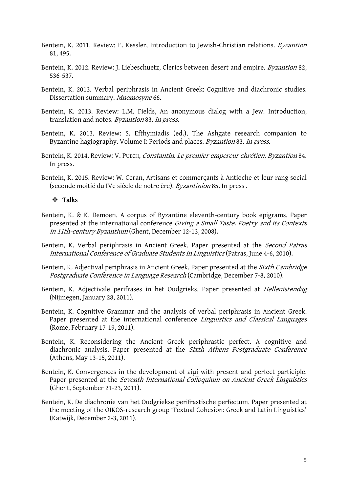- Bentein, K. 2011. Review: E. Kessler, Introduction to Jewish-Christian relations. Byzantion 81, 495.
- Bentein, K. 2012. Review: J. Liebeschuetz, Clerics between desert and empire. *Byzantion* 82, 536-537.
- Bentein, K. 2013. Verbal periphrasis in Ancient Greek: Cognitive and diachronic studies. Dissertation summary. Mnemosyne 66.
- Bentein, K. 2013. Review: L.M. Fields, An anonymous dialog with a Jew. Introduction, translation and notes. Byzantion 83. In press.
- Bentein, K. 2013. Review: S. Efthymiadis (ed.), The Ashgate research companion to Byzantine hagiography. Volume I: Periods and places. Byzantion 83. In press.
- Bentein, K. 2014. Review: V. PUECH, Constantin. Le premier empereur chrétien. Byzantion 84. In press.
- Bentein, K. 2015. Review: W. Ceran, Artisans et commerçants à Antioche et leur rang social (seconde moitié du IVe siècle de notre ère). Byzantinion 85. In press .

### Talks

- Bentein, K. & K. Demoen. A corpus of Byzantine eleventh-century book epigrams. Paper presented at the international conference Giving a Small Taste. Poetry and its Contexts in 11th-century Byzantium (Ghent, December 12-13, 2008).
- Bentein, K. Verbal periphrasis in Ancient Greek. Paper presented at the Second Patras International Conference of Graduate Students in Linguistics (Patras, June 4-6, 2010).
- Bentein, K. Adjectival periphrasis in Ancient Greek. Paper presented at the *Sixth Cambridge* Postgraduate Conference in Language Research (Cambridge, December 7-8, 2010).
- Bentein, K. Adjectivale perifrases in het Oudgrieks. Paper presented at Hellenistendag (Nijmegen, January 28, 2011).
- Bentein, K. Cognitive Grammar and the analysis of verbal periphrasis in Ancient Greek. Paper presented at the international conference Linguistics and Classical Languages (Rome, February 17-19, 2011).
- Bentein, K. Reconsidering the Ancient Greek periphrastic perfect. A cognitive and diachronic analysis. Paper presented at the Sixth Athens Postgraduate Conference (Athens, May 13-15, 2011).
- Bentein, K. Convergences in the development of εἰμί with present and perfect participle. Paper presented at the Seventh International Colloquium on Ancient Greek Linguistics (Ghent, September 21-23, 2011).
- Bentein, K. De diachronie van het Oudgriekse perifrastische perfectum. Paper presented at the meeting of the OIKOS-research group 'Textual Cohesion: Greek and Latin Linguistics' (Katwijk, December 2-3, 2011).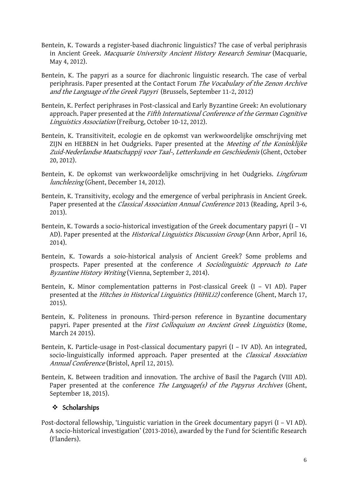- Bentein, K. Towards a register-based diachronic linguistics? The case of verbal periphrasis in Ancient Greek. Macquarie University Ancient History Research Seminar (Macquarie, May 4, 2012).
- Bentein, K. The papyri as a source for diachronic linguistic research. The case of verbal periphrasis. Paper presented at the Contact Forum The Vocabulary of the Zenon Archive and the Language of the Greek Papyri (Brussels, September 11-2, 2012)
- Bentein, K. Perfect periphrases in Post-classical and Early Byzantine Greek: An evolutionary approach. Paper presented at the Fifth International Conference of the German Cognitive Linguistics Association (Freiburg, October 10-12, 2012).
- Bentein, K. Transitiviteit, ecologie en de opkomst van werkwoordelijke omschrijving met ZIJN en HEBBEN in het Oudgrieks. Paper presented at the Meeting of the Koninklijke Zuid-Nederlandse Maatschappij voor Taal-, Letterkunde en Geschiedenis (Ghent, October 20, 2012).
- Bentein, K. De opkomst van werkwoordelijke omschrijving in het Oudgrieks. Lingforum lunchlezing (Ghent, December 14, 2012).
- Bentein, K. Transitivity, ecology and the emergence of verbal periphrasis in Ancient Greek. Paper presented at the *Classical Association Annual Conference* 2013 (Reading, April 3-6, 2013).
- Bentein, K. Towards a socio-historical investigation of the Greek documentary papyri (I VI AD). Paper presented at the *Historical Linguistics Discussion Group* (Ann Arbor, April 16, 2014).
- Bentein, K. Towards a soio-historical analysis of Ancient Greek? Some problems and prospects. Paper presented at the conference A Sociolinguistic Approach to Late Byzantine History Writing (Vienna, September 2, 2014).
- Bentein, K. Minor complementation patterns in Post-classical Greek (I VI AD). Paper presented at the Hitches in Historical Linguistics (HiHiLi2) conference (Ghent, March 17, 2015).
- Bentein, K. Politeness in pronouns. Third-person reference in Byzantine documentary papyri. Paper presented at the *First Colloquium on Ancient Greek Linguistics* (Rome, March 24 2015).
- Bentein, K. Particle-usage in Post-classical documentary papyri (I IV AD). An integrated, socio-linguistically informed approach. Paper presented at the *Classical Association* Annual Conference (Bristol, April 12, 2015).
- Bentein, K. Between tradition and innovation. The archive of Basil the Pagarch (VIII AD). Paper presented at the conference *The Language(s) of the Papyrus Archives* (Ghent, September 18, 2015).

## $\div$  Scholarships

Post-doctoral fellowship, 'Linguistic variation in the Greek documentary papyri (I – VI AD). A socio-historical investigation' (2013-2016), awarded by the Fund for Scientific Research (Flanders).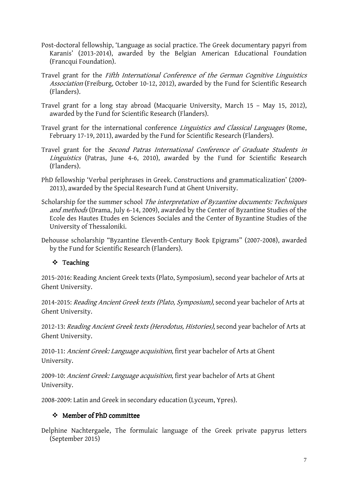- Post-doctoral fellowship, 'Language as social practice. The Greek documentary papyri from Karanis' (2013-2014), awarded by the Belgian American Educational Foundation (Francqui Foundation).
- Travel grant for the Fifth International Conference of the German Cognitive Linguistics Association (Freiburg, October 10-12, 2012), awarded by the Fund for Scientific Research (Flanders).
- Travel grant for a long stay abroad (Macquarie University, March 15 May 15, 2012), awarded by the Fund for Scientific Research (Flanders).
- Travel grant for the international conference *Linguistics and Classical Languages* (Rome, February 17-19, 2011), awarded by the Fund for Scientific Research (Flanders).
- Travel grant for the Second Patras International Conference of Graduate Students in Linguistics (Patras, June 4-6, 2010), awarded by the Fund for Scientific Research (Flanders).
- PhD fellowship 'Verbal periphrases in Greek. Constructions and grammaticalization' (2009- 2013), awarded by the Special Research Fund at Ghent University.
- Scholarship for the summer school The interpretation of Byzantine documents: Techniques and methods (Drama, July 6-14, 2009), awarded by the Center of Byzantine Studies of the Ecole des Hautes Etudes en Sciences Sociales and the Center of Byzantine Studies of the University of Thessaloniki.
- Dehousse scholarship "Byzantine Eleventh-Century Book Epigrams" (2007-2008), awarded by the Fund for Scientific Research (Flanders).

# ❖ Teaching

2015-2016: Reading Ancient Greek texts (Plato, Symposium), second year bachelor of Arts at Ghent University.

2014-2015: Reading Ancient Greek texts (Plato, Symposium), second year bachelor of Arts at Ghent University.

2012-13: Reading Ancient Greek texts (Herodotus, Histories), second year bachelor of Arts at Ghent University.

2010-11: Ancient Greek: Language acquisition, first year bachelor of Arts at Ghent University.

2009-10: Ancient Greek: Language acquisition, first year bachelor of Arts at Ghent University.

2008-2009: Latin and Greek in secondary education (Lyceum, Ypres).

# Member of PhD committee

Delphine Nachtergaele, The formulaic language of the Greek private papyrus letters (September 2015)